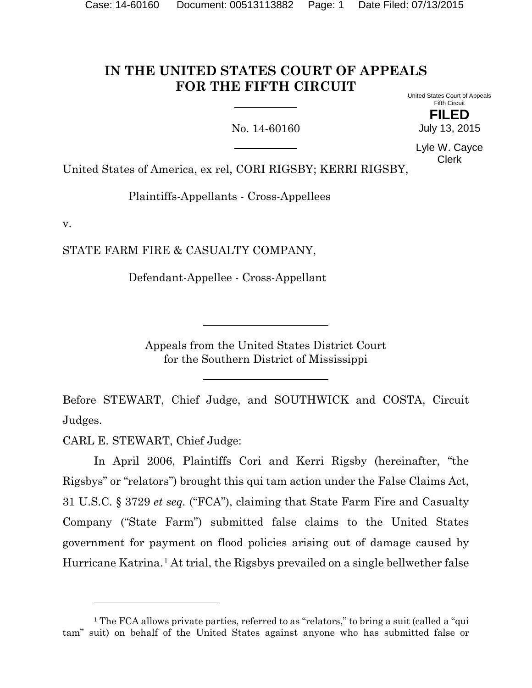# **IN THE UNITED STATES COURT OF APPEALS FOR THE FIFTH CIRCUIT**

No. 14-60160

United States Court of Appeals Fifth Circuit

> **FILED** July 13, 2015

Lyle W. Cayce Clerk

United States of America, ex rel, CORI RIGSBY; KERRI RIGSBY,

Plaintiffs-Appellants - Cross-Appellees

v.

STATE FARM FIRE & CASUALTY COMPANY,

Defendant-Appellee - Cross-Appellant

Appeals from the United States District Court for the Southern District of Mississippi

Before STEWART, Chief Judge, and SOUTHWICK and COSTA, Circuit Judges.

CARL E. STEWART, Chief Judge:

 $\overline{a}$ 

In April 2006, Plaintiffs Cori and Kerri Rigsby (hereinafter, "the Rigsbys" or "relators") brought this qui tam action under the False Claims Act, 31 U.S.C. § 3729 *et seq.* ("FCA"), claiming that State Farm Fire and Casualty Company ("State Farm") submitted false claims to the United States government for payment on flood policies arising out of damage caused by Hurricane Katrina.<sup>[1](#page-0-0)</sup> At trial, the Rigsbys prevailed on a single bellwether false

<span id="page-0-0"></span><sup>&</sup>lt;sup>1</sup> The FCA allows private parties, referred to as "relators," to bring a suit (called a "qui tam" suit) on behalf of the United States against anyone who has submitted false or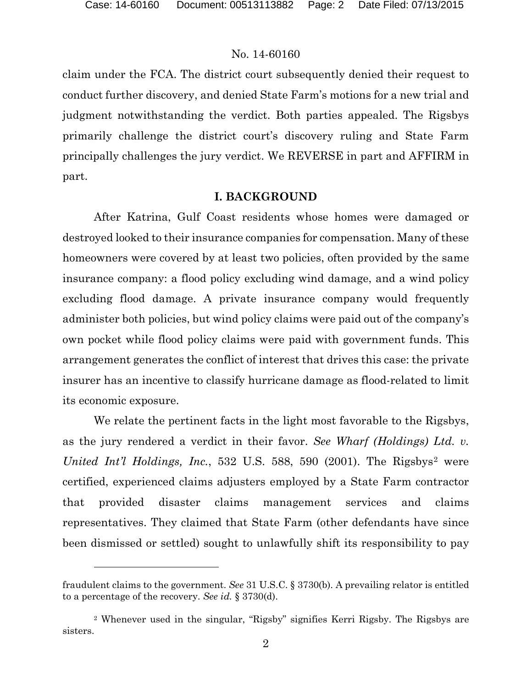l

#### No. 14-60160

claim under the FCA. The district court subsequently denied their request to conduct further discovery, and denied State Farm's motions for a new trial and judgment notwithstanding the verdict. Both parties appealed. The Rigsbys primarily challenge the district court's discovery ruling and State Farm principally challenges the jury verdict. We REVERSE in part and AFFIRM in part.

### **I. BACKGROUND**

After Katrina, Gulf Coast residents whose homes were damaged or destroyed looked to their insurance companies for compensation. Many of these homeowners were covered by at least two policies, often provided by the same insurance company: a flood policy excluding wind damage, and a wind policy excluding flood damage. A private insurance company would frequently administer both policies, but wind policy claims were paid out of the company's own pocket while flood policy claims were paid with government funds. This arrangement generates the conflict of interest that drives this case: the private insurer has an incentive to classify hurricane damage as flood-related to limit its economic exposure.

We relate the pertinent facts in the light most favorable to the Rigsbys, as the jury rendered a verdict in their favor. *See Wharf (Holdings) Ltd. v. United Int'l Holdings, Inc.*, 53[2](#page-1-0) U.S. 588, 590 (2001). The Rigsbys<sup>2</sup> were certified, experienced claims adjusters employed by a State Farm contractor that provided disaster claims management services and claims representatives. They claimed that State Farm (other defendants have since been dismissed or settled) sought to unlawfully shift its responsibility to pay

fraudulent claims to the government. *See* 31 U.S.C. § 3730(b). A prevailing relator is entitled to a percentage of the recovery. *See id.* § 3730(d).

<span id="page-1-0"></span><sup>2</sup> Whenever used in the singular, "Rigsby" signifies Kerri Rigsby. The Rigsbys are sisters.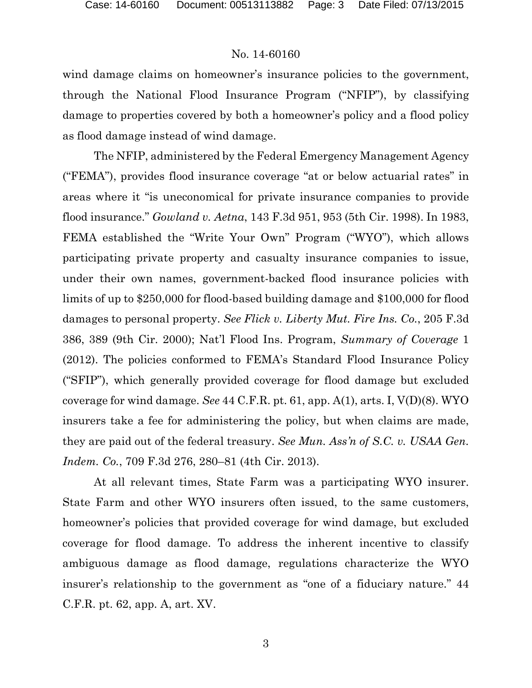wind damage claims on homeowner's insurance policies to the government, through the National Flood Insurance Program ("NFIP"), by classifying damage to properties covered by both a homeowner's policy and a flood policy as flood damage instead of wind damage.

The NFIP, administered by the Federal Emergency Management Agency ("FEMA"), provides flood insurance coverage "at or below actuarial rates" in areas where it "is uneconomical for private insurance companies to provide flood insurance." *Gowland v. Aetna*, 143 F.3d 951, 953 (5th Cir. 1998). In 1983, FEMA established the "Write Your Own" Program ("WYO"), which allows participating private property and casualty insurance companies to issue, under their own names, government-backed flood insurance policies with limits of up to \$250,000 for flood-based building damage and \$100,000 for flood damages to personal property. *See Flick v. Liberty Mut. Fire Ins. Co.*, 205 F.3d 386, 389 (9th Cir. 2000); Nat'l Flood Ins. Program, *Summary of Coverage* 1 (2012). The policies conformed to FEMA's Standard Flood Insurance Policy ("SFIP"), which generally provided coverage for flood damage but excluded coverage for wind damage. *See* 44 C.F.R. pt. 61, app. A(1), arts. I, V(D)(8). WYO insurers take a fee for administering the policy, but when claims are made, they are paid out of the federal treasury. *See Mun. Ass'n of S.C. v. USAA Gen. Indem. Co.*, 709 F.3d 276, 280–81 (4th Cir. 2013).

At all relevant times, State Farm was a participating WYO insurer. State Farm and other WYO insurers often issued, to the same customers, homeowner's policies that provided coverage for wind damage, but excluded coverage for flood damage. To address the inherent incentive to classify ambiguous damage as flood damage, regulations characterize the WYO insurer's relationship to the government as "one of a fiduciary nature." 44 C.F.R. pt. 62, app. A, art. XV.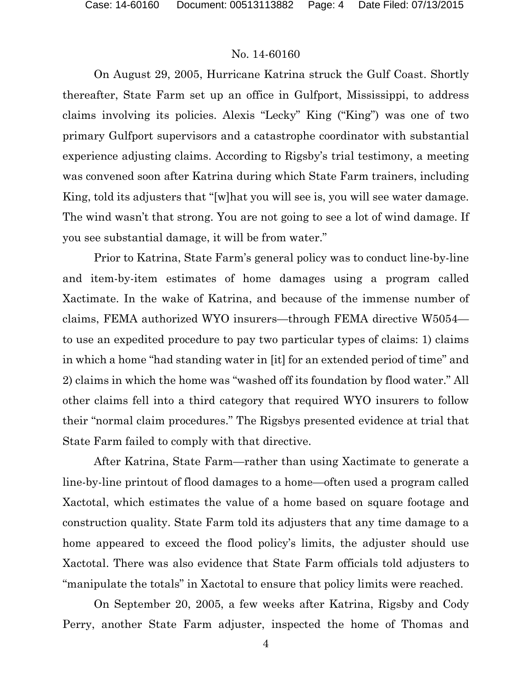On August 29, 2005, Hurricane Katrina struck the Gulf Coast. Shortly thereafter, State Farm set up an office in Gulfport, Mississippi, to address claims involving its policies. Alexis "Lecky" King ("King") was one of two primary Gulfport supervisors and a catastrophe coordinator with substantial experience adjusting claims. According to Rigsby's trial testimony, a meeting was convened soon after Katrina during which State Farm trainers, including King, told its adjusters that "[w]hat you will see is, you will see water damage. The wind wasn't that strong. You are not going to see a lot of wind damage. If you see substantial damage, it will be from water."

Prior to Katrina, State Farm's general policy was to conduct line-by-line and item-by-item estimates of home damages using a program called Xactimate. In the wake of Katrina, and because of the immense number of claims, FEMA authorized WYO insurers—through FEMA directive W5054 to use an expedited procedure to pay two particular types of claims: 1) claims in which a home "had standing water in [it] for an extended period of time" and 2) claims in which the home was "washed off its foundation by flood water." All other claims fell into a third category that required WYO insurers to follow their "normal claim procedures." The Rigsbys presented evidence at trial that State Farm failed to comply with that directive.

After Katrina, State Farm—rather than using Xactimate to generate a line-by-line printout of flood damages to a home—often used a program called Xactotal, which estimates the value of a home based on square footage and construction quality. State Farm told its adjusters that any time damage to a home appeared to exceed the flood policy's limits, the adjuster should use Xactotal. There was also evidence that State Farm officials told adjusters to "manipulate the totals" in Xactotal to ensure that policy limits were reached.

On September 20, 2005, a few weeks after Katrina, Rigsby and Cody Perry, another State Farm adjuster, inspected the home of Thomas and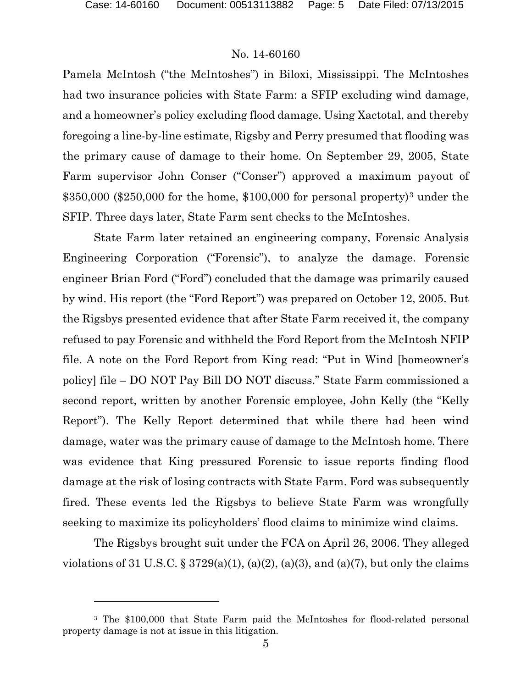l

#### No. 14-60160

Pamela McIntosh ("the McIntoshes") in Biloxi, Mississippi. The McIntoshes had two insurance policies with State Farm: a SFIP excluding wind damage, and a homeowner's policy excluding flood damage. Using Xactotal, and thereby foregoing a line-by-line estimate, Rigsby and Perry presumed that flooding was the primary cause of damage to their home. On September 29, 2005, State Farm supervisor John Conser ("Conser") approved a maximum payout of  $$350,000$  $$350,000$  $$350,000$  (\$250,000 for the home, \$100,000 for personal property)<sup>3</sup> under the SFIP. Three days later, State Farm sent checks to the McIntoshes.

State Farm later retained an engineering company, Forensic Analysis Engineering Corporation ("Forensic"), to analyze the damage. Forensic engineer Brian Ford ("Ford") concluded that the damage was primarily caused by wind. His report (the "Ford Report") was prepared on October 12, 2005. But the Rigsbys presented evidence that after State Farm received it, the company refused to pay Forensic and withheld the Ford Report from the McIntosh NFIP file. A note on the Ford Report from King read: "Put in Wind [homeowner's policy] file – DO NOT Pay Bill DO NOT discuss." State Farm commissioned a second report, written by another Forensic employee, John Kelly (the "Kelly Report"). The Kelly Report determined that while there had been wind damage, water was the primary cause of damage to the McIntosh home. There was evidence that King pressured Forensic to issue reports finding flood damage at the risk of losing contracts with State Farm. Ford was subsequently fired. These events led the Rigsbys to believe State Farm was wrongfully seeking to maximize its policyholders' flood claims to minimize wind claims.

The Rigsbys brought suit under the FCA on April 26, 2006. They alleged violations of 31 U.S.C. § 3729(a)(1), (a)(2), (a)(3), and (a)(7), but only the claims

<span id="page-4-0"></span><sup>3</sup> The \$100,000 that State Farm paid the McIntoshes for flood-related personal property damage is not at issue in this litigation.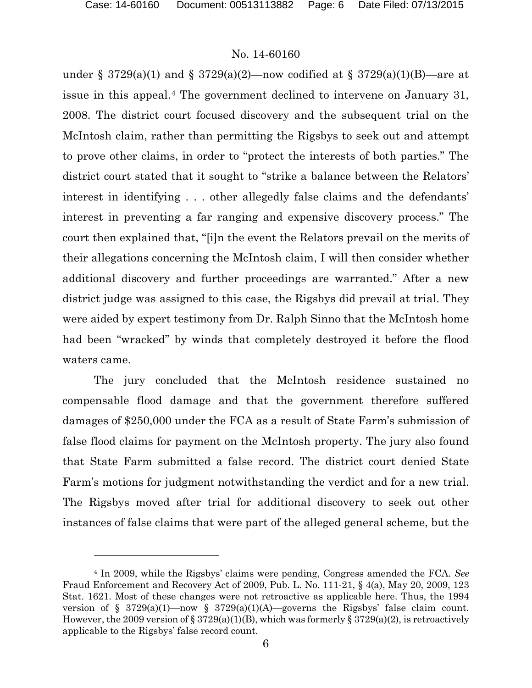#### No. 14-60160

under § 3729(a)(1) and § 3729(a)(2)—now codified at § 3729(a)(1)(B)—are at issue in this appeal.[4](#page-5-0) The government declined to intervene on January 31, 2008. The district court focused discovery and the subsequent trial on the McIntosh claim, rather than permitting the Rigsbys to seek out and attempt to prove other claims, in order to "protect the interests of both parties." The district court stated that it sought to "strike a balance between the Relators' interest in identifying . . . other allegedly false claims and the defendants' interest in preventing a far ranging and expensive discovery process." The court then explained that, "[i]n the event the Relators prevail on the merits of their allegations concerning the McIntosh claim, I will then consider whether additional discovery and further proceedings are warranted." After a new district judge was assigned to this case, the Rigsbys did prevail at trial. They were aided by expert testimony from Dr. Ralph Sinno that the McIntosh home had been "wracked" by winds that completely destroyed it before the flood waters came.

The jury concluded that the McIntosh residence sustained no compensable flood damage and that the government therefore suffered damages of \$250,000 under the FCA as a result of State Farm's submission of false flood claims for payment on the McIntosh property. The jury also found that State Farm submitted a false record. The district court denied State Farm's motions for judgment notwithstanding the verdict and for a new trial. The Rigsbys moved after trial for additional discovery to seek out other instances of false claims that were part of the alleged general scheme, but the

<span id="page-5-0"></span><sup>4</sup> In 2009, while the Rigsbys' claims were pending, Congress amended the FCA. *See*  Fraud Enforcement and Recovery Act of 2009, Pub. L. No. 111-21, § 4(a), May 20, 2009, 123 Stat. 1621. Most of these changes were not retroactive as applicable here. Thus, the 1994 version of § 3729(a)(1)—now § 3729(a)(1)(A)—governs the Rigsbys' false claim count. However, the 2009 version of § 3729(a)(1)(B), which was formerly § 3729(a)(2), is retroactively applicable to the Rigsbys' false record count.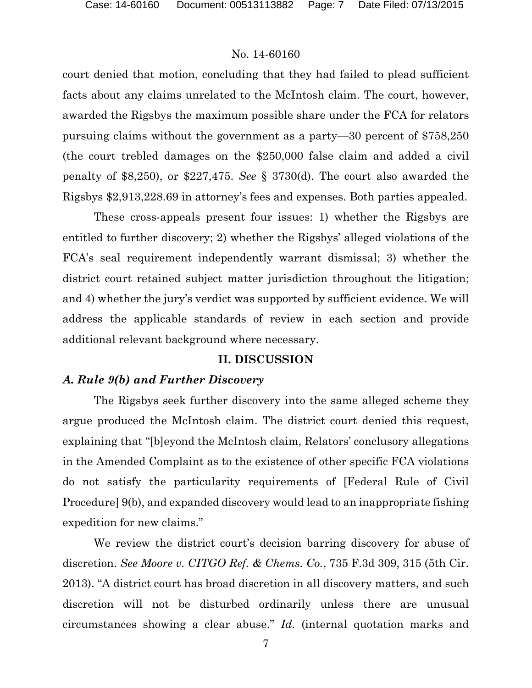court denied that motion, concluding that they had failed to plead sufficient facts about any claims unrelated to the McIntosh claim. The court, however, awarded the Rigsbys the maximum possible share under the FCA for relators pursuing claims without the government as a party—30 percent of \$758,250 (the court trebled damages on the \$250,000 false claim and added a civil penalty of \$8,250), or \$227,475. *See* § 3730(d). The court also awarded the Rigsbys \$2,913,228.69 in attorney's fees and expenses. Both parties appealed.

These cross-appeals present four issues: 1) whether the Rigsbys are entitled to further discovery; 2) whether the Rigsbys' alleged violations of the FCA's seal requirement independently warrant dismissal; 3) whether the district court retained subject matter jurisdiction throughout the litigation; and 4) whether the jury's verdict was supported by sufficient evidence. We will address the applicable standards of review in each section and provide additional relevant background where necessary.

### **II. DISCUSSION**

#### *A. Rule 9(b) and Further Discovery*

The Rigsbys seek further discovery into the same alleged scheme they argue produced the McIntosh claim. The district court denied this request, explaining that "[b]eyond the McIntosh claim, Relators' conclusory allegations in the Amended Complaint as to the existence of other specific FCA violations do not satisfy the particularity requirements of [Federal Rule of Civil Procedure] 9(b), and expanded discovery would lead to an inappropriate fishing expedition for new claims."

We review the district court's decision barring discovery for abuse of discretion. *See Moore v. CITGO Ref. & Chems. Co.*, 735 F.3d 309, 315 (5th Cir. 2013). "A district court has broad discretion in all discovery matters, and such discretion will not be disturbed ordinarily unless there are unusual circumstances showing a clear abuse." *Id.* (internal quotation marks and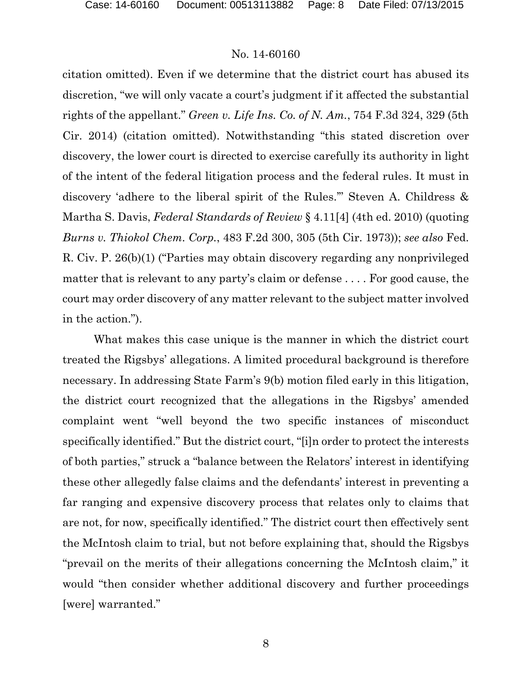citation omitted). Even if we determine that the district court has abused its discretion, "we will only vacate a court's judgment if it affected the substantial rights of the appellant." *Green v. Life Ins. Co. of N. Am.*, 754 F.3d 324, 329 (5th Cir. 2014) (citation omitted). Notwithstanding "this stated discretion over discovery, the lower court is directed to exercise carefully its authority in light of the intent of the federal litigation process and the federal rules. It must in discovery 'adhere to the liberal spirit of the Rules.'" Steven A. Childress & Martha S. Davis, *Federal Standards of Review* § 4.11[4] (4th ed. 2010) (quoting *Burns v. Thiokol Chem. Corp.*, 483 F.2d 300, 305 (5th Cir. 1973)); *see also* Fed. R. Civ. P. 26(b)(1) ("Parties may obtain discovery regarding any nonprivileged matter that is relevant to any party's claim or defense . . . . For good cause, the court may order discovery of any matter relevant to the subject matter involved in the action.").

What makes this case unique is the manner in which the district court treated the Rigsbys' allegations. A limited procedural background is therefore necessary. In addressing State Farm's 9(b) motion filed early in this litigation, the district court recognized that the allegations in the Rigsbys' amended complaint went "well beyond the two specific instances of misconduct specifically identified." But the district court, "[i]n order to protect the interests of both parties," struck a "balance between the Relators' interest in identifying these other allegedly false claims and the defendants' interest in preventing a far ranging and expensive discovery process that relates only to claims that are not, for now, specifically identified." The district court then effectively sent the McIntosh claim to trial, but not before explaining that, should the Rigsbys "prevail on the merits of their allegations concerning the McIntosh claim," it would "then consider whether additional discovery and further proceedings [were] warranted."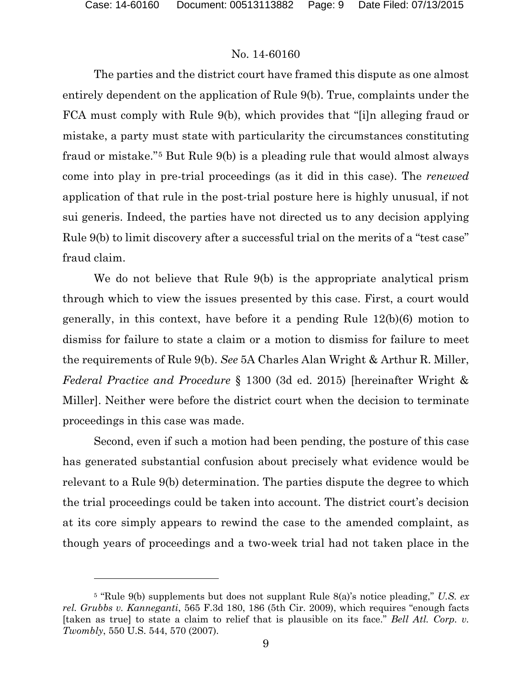### No. 14-60160

The parties and the district court have framed this dispute as one almost entirely dependent on the application of Rule 9(b). True, complaints under the FCA must comply with Rule 9(b), which provides that "[i]n alleging fraud or mistake, a party must state with particularity the circumstances constituting fraud or mistake."[5](#page-8-0) But Rule 9(b) is a pleading rule that would almost always come into play in pre-trial proceedings (as it did in this case). The *renewed* application of that rule in the post-trial posture here is highly unusual, if not sui generis. Indeed, the parties have not directed us to any decision applying Rule 9(b) to limit discovery after a successful trial on the merits of a "test case" fraud claim.

We do not believe that Rule 9(b) is the appropriate analytical prism through which to view the issues presented by this case. First, a court would generally, in this context, have before it a pending Rule 12(b)(6) motion to dismiss for failure to state a claim or a motion to dismiss for failure to meet the requirements of Rule 9(b). *See* 5A Charles Alan Wright & Arthur R. Miller, *Federal Practice and Procedure* § 1300 (3d ed. 2015) [hereinafter Wright & Miller]. Neither were before the district court when the decision to terminate proceedings in this case was made.

Second, even if such a motion had been pending, the posture of this case has generated substantial confusion about precisely what evidence would be relevant to a Rule 9(b) determination. The parties dispute the degree to which the trial proceedings could be taken into account. The district court's decision at its core simply appears to rewind the case to the amended complaint, as though years of proceedings and a two-week trial had not taken place in the

<span id="page-8-0"></span><sup>5</sup> "Rule 9(b) supplements but does not supplant Rule 8(a)'s notice pleading," *U.S. ex rel. Grubbs v. Kanneganti*, 565 F.3d 180, 186 (5th Cir. 2009), which requires "enough facts [taken as true] to state a claim to relief that is plausible on its face." *Bell Atl. Corp. v. Twombly*, 550 U.S. 544, 570 (2007).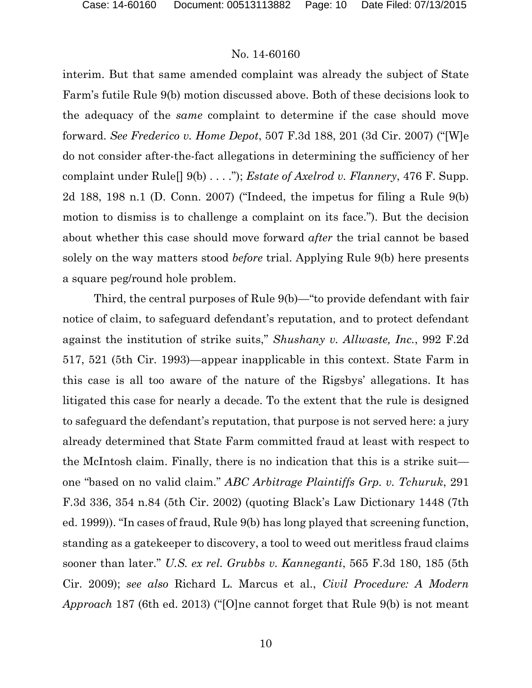interim. But that same amended complaint was already the subject of State Farm's futile Rule 9(b) motion discussed above. Both of these decisions look to the adequacy of the *same* complaint to determine if the case should move forward. *See Frederico v. Home Depot*, 507 F.3d 188, 201 (3d Cir. 2007) ("[W]e do not consider after-the-fact allegations in determining the sufficiency of her complaint under Rule[] 9(b) . . . ."); *Estate of Axelrod v. Flannery*, 476 F. Supp. 2d 188, 198 n.1 (D. Conn. 2007) ("Indeed, the impetus for filing a Rule 9(b) motion to dismiss is to challenge a complaint on its face."). But the decision about whether this case should move forward *after* the trial cannot be based solely on the way matters stood *before* trial. Applying Rule 9(b) here presents a square peg/round hole problem.

Third, the central purposes of Rule 9(b)—"to provide defendant with fair notice of claim, to safeguard defendant's reputation, and to protect defendant against the institution of strike suits," *Shushany v. Allwaste, Inc.*, 992 F.2d 517, 521 (5th Cir. 1993)—appear inapplicable in this context. State Farm in this case is all too aware of the nature of the Rigsbys' allegations. It has litigated this case for nearly a decade. To the extent that the rule is designed to safeguard the defendant's reputation, that purpose is not served here: a jury already determined that State Farm committed fraud at least with respect to the McIntosh claim. Finally, there is no indication that this is a strike suit one "based on no valid claim." *ABC Arbitrage Plaintiffs Grp. v. Tchuruk*, 291 F.3d 336, 354 n.84 (5th Cir. 2002) (quoting Black's Law Dictionary 1448 (7th ed. 1999)). "In cases of fraud, Rule 9(b) has long played that screening function, standing as a gatekeeper to discovery, a tool to weed out meritless fraud claims sooner than later." *U.S. ex rel. Grubbs v. Kanneganti*, 565 F.3d 180, 185 (5th Cir. 2009); *see also* Richard L. Marcus et al., *Civil Procedure: A Modern Approach* 187 (6th ed. 2013) ("[O]ne cannot forget that Rule 9(b) is not meant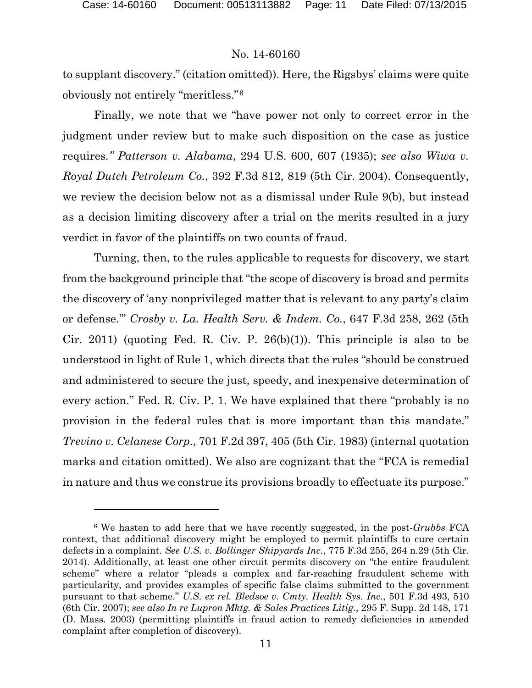#### No. 14-60160

to supplant discovery." (citation omitted)). Here, the Rigsbys' claims were quite obviously not entirely "meritless."[6](#page-10-0)

Finally, we note that we "have power not only to correct error in the judgment under review but to make such disposition on the case as justice requires*." Patterson v. Alabama*, 294 U.S. 600, 607 (1935); *see also Wiwa v. Royal Dutch Petroleum Co.*, 392 F.3d 812, 819 (5th Cir. 2004). Consequently, we review the decision below not as a dismissal under Rule 9(b), but instead as a decision limiting discovery after a trial on the merits resulted in a jury verdict in favor of the plaintiffs on two counts of fraud.

Turning, then, to the rules applicable to requests for discovery, we start from the background principle that "the scope of discovery is broad and permits the discovery of 'any nonprivileged matter that is relevant to any party's claim or defense.'" *Crosby v. La. Health Serv. & Indem. Co.*, 647 F.3d 258, 262 (5th Cir. 2011) (quoting Fed. R. Civ. P. 26 $(b)(1)$ ). This principle is also to be understood in light of Rule 1, which directs that the rules "should be construed and administered to secure the just, speedy, and inexpensive determination of every action." Fed. R. Civ. P. 1. We have explained that there "probably is no provision in the federal rules that is more important than this mandate." *Trevino v. Celanese Corp.*, 701 F.2d 397, 405 (5th Cir. 1983) (internal quotation marks and citation omitted). We also are cognizant that the "FCA is remedial in nature and thus we construe its provisions broadly to effectuate its purpose."

<span id="page-10-0"></span><sup>6</sup> We hasten to add here that we have recently suggested, in the post-*Grubbs* FCA context, that additional discovery might be employed to permit plaintiffs to cure certain defects in a complaint. *See U.S. v. Bollinger Shipyards Inc.*, 775 F.3d 255, 264 n.29 (5th Cir. 2014). Additionally, at least one other circuit permits discovery on "the entire fraudulent scheme" where a relator "pleads a complex and far-reaching fraudulent scheme with particularity, and provides examples of specific false claims submitted to the government pursuant to that scheme." *U.S. ex rel. Bledsoe v. Cmty. Health Sys. Inc.*, 501 F.3d 493, 510 (6th Cir. 2007); *see also In re Lupron Mktg. & Sales Practices Litig.*, 295 F. Supp. 2d 148, 171 (D. Mass. 2003) (permitting plaintiffs in fraud action to remedy deficiencies in amended complaint after completion of discovery).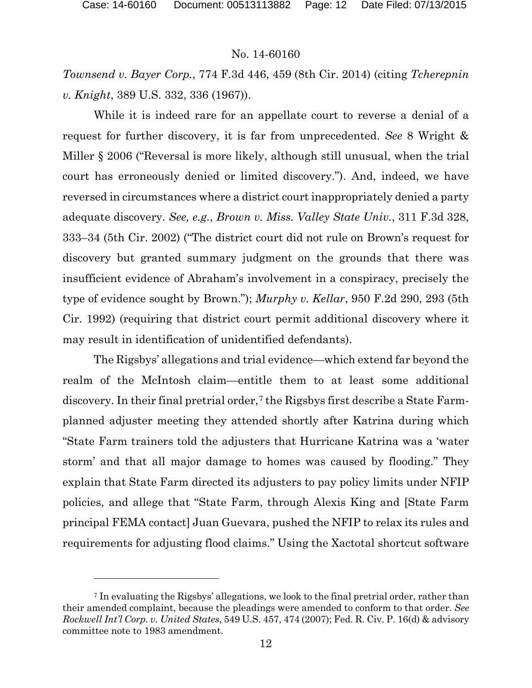#### No. 14-60160

*Townsend v. Bayer Corp.*, 774 F.3d 446, 459 (8th Cir. 2014) (citing *Tcherepnin v. Knight*, 389 U.S. 332, 336 (1967)).

While it is indeed rare for an appellate court to reverse a denial of a request for further discovery, it is far from unprecedented. *See* 8 Wright & Miller § 2006 ("Reversal is more likely, although still unusual, when the trial court has erroneously denied or limited discovery."). And, indeed, we have reversed in circumstances where a district court inappropriately denied a party adequate discovery. *See, e.g.*, *Brown v. Miss. Valley State Univ.*, 311 F.3d 328, 333–34 (5th Cir. 2002) ("The district court did not rule on Brown's request for discovery but granted summary judgment on the grounds that there was insufficient evidence of Abraham's involvement in a conspiracy, precisely the type of evidence sought by Brown."); *Murphy v. Kellar*, 950 F.2d 290, 293 (5th Cir. 1992) (requiring that district court permit additional discovery where it may result in identification of unidentified defendants).

The Rigsbys' allegations and trial evidence—which extend far beyond the realm of the McIntosh claim—entitle them to at least some additional discovery. In their final pretrial order,<sup>[7](#page-11-0)</sup> the Rigsbys first describe a State Farmplanned adjuster meeting they attended shortly after Katrina during which "State Farm trainers told the adjusters that Hurricane Katrina was a 'water storm' and that all major damage to homes was caused by flooding." They explain that State Farm directed its adjusters to pay policy limits under NFIP policies, and allege that "State Farm, through Alexis King and [State Farm principal FEMA contact] Juan Guevara, pushed the NFIP to relax its rules and requirements for adjusting flood claims." Using the Xactotal shortcut software

<span id="page-11-0"></span><sup>7</sup> In evaluating the Rigsbys' allegations, we look to the final pretrial order, rather than their amended complaint, because the pleadings were amended to conform to that order. *See Rockwell Int'l Corp. v. United States*, 549 U.S. 457, 474 (2007); Fed. R. Civ. P. 16(d) & advisory committee note to 1983 amendment.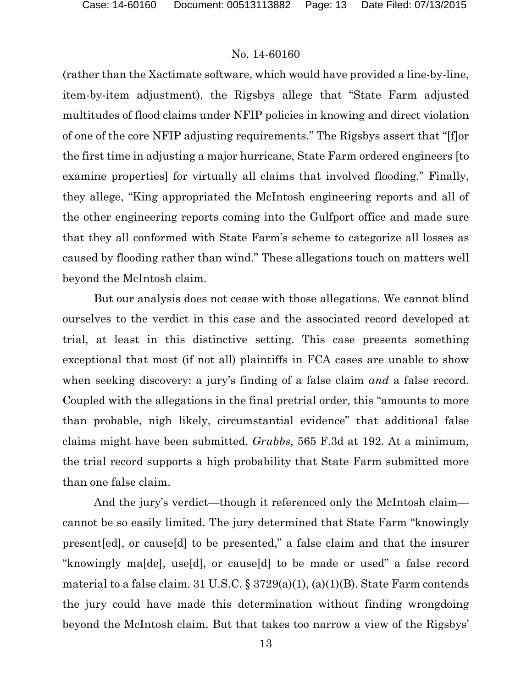(rather than the Xactimate software, which would have provided a line-by-line, item-by-item adjustment), the Rigsbys allege that "State Farm adjusted multitudes of flood claims under NFIP policies in knowing and direct violation of one of the core NFIP adjusting requirements." The Rigsbys assert that "[f]or the first time in adjusting a major hurricane, State Farm ordered engineers [to examine properties] for virtually all claims that involved flooding." Finally, they allege, "King appropriated the McIntosh engineering reports and all of the other engineering reports coming into the Gulfport office and made sure that they all conformed with State Farm's scheme to categorize all losses as caused by flooding rather than wind." These allegations touch on matters well beyond the McIntosh claim.

But our analysis does not cease with those allegations. We cannot blind ourselves to the verdict in this case and the associated record developed at trial, at least in this distinctive setting. This case presents something exceptional that most (if not all) plaintiffs in FCA cases are unable to show when seeking discovery: a jury's finding of a false claim *and* a false record. Coupled with the allegations in the final pretrial order, this "amounts to more than probable, nigh likely, circumstantial evidence" that additional false claims might have been submitted. *Grubbs*, 565 F.3d at 192. At a minimum, the trial record supports a high probability that State Farm submitted more than one false claim.

And the jury's verdict—though it referenced only the McIntosh claim cannot be so easily limited. The jury determined that State Farm "knowingly present[ed], or cause[d] to be presented," a false claim and that the insurer "knowingly ma[de], use[d], or cause[d] to be made or used" a false record material to a false claim. 31 U.S.C. § 3729(a)(1), (a)(1)(B). State Farm contends the jury could have made this determination without finding wrongdoing beyond the McIntosh claim. But that takes too narrow a view of the Rigsbys'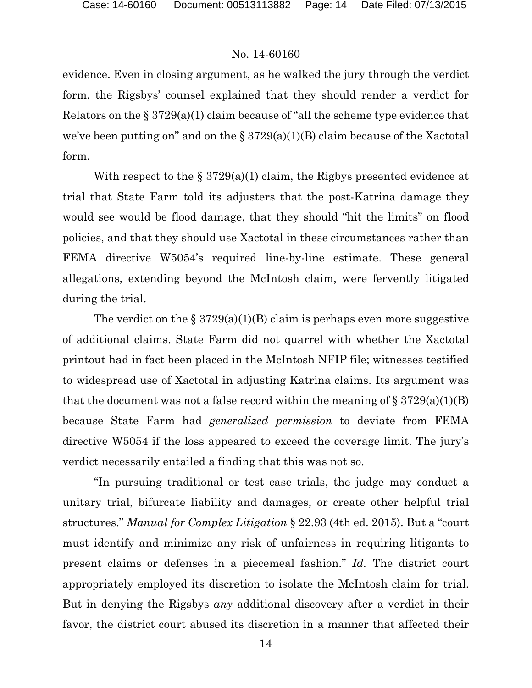evidence. Even in closing argument, as he walked the jury through the verdict form, the Rigsbys' counsel explained that they should render a verdict for Relators on the  $\S 3729(a)(1)$  claim because of "all the scheme type evidence that we've been putting on" and on the  $\S 3729(a)(1)(B)$  claim because of the Xactotal form.

With respect to the  $\S 3729(a)(1)$  claim, the Rigbys presented evidence at trial that State Farm told its adjusters that the post-Katrina damage they would see would be flood damage, that they should "hit the limits" on flood policies, and that they should use Xactotal in these circumstances rather than FEMA directive W5054's required line-by-line estimate. These general allegations, extending beyond the McIntosh claim, were fervently litigated during the trial.

The verdict on the  $\S 3729(a)(1)(B)$  claim is perhaps even more suggestive of additional claims. State Farm did not quarrel with whether the Xactotal printout had in fact been placed in the McIntosh NFIP file; witnesses testified to widespread use of Xactotal in adjusting Katrina claims. Its argument was that the document was not a false record within the meaning of  $\S 3729(a)(1)(B)$ because State Farm had *generalized permission* to deviate from FEMA directive W5054 if the loss appeared to exceed the coverage limit. The jury's verdict necessarily entailed a finding that this was not so.

"In pursuing traditional or test case trials, the judge may conduct a unitary trial, bifurcate liability and damages, or create other helpful trial structures." *Manual for Complex Litigation* § 22.93 (4th ed. 2015). But a "court must identify and minimize any risk of unfairness in requiring litigants to present claims or defenses in a piecemeal fashion." *Id.* The district court appropriately employed its discretion to isolate the McIntosh claim for trial. But in denying the Rigsbys *any* additional discovery after a verdict in their favor, the district court abused its discretion in a manner that affected their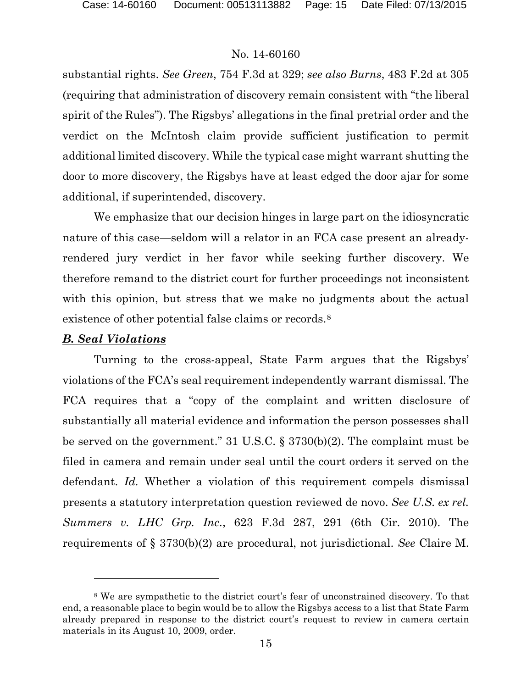substantial rights. *See Green*, 754 F.3d at 329; *see also Burns*, 483 F.2d at 305 (requiring that administration of discovery remain consistent with "the liberal spirit of the Rules"). The Rigsbys' allegations in the final pretrial order and the verdict on the McIntosh claim provide sufficient justification to permit additional limited discovery. While the typical case might warrant shutting the door to more discovery, the Rigsbys have at least edged the door ajar for some additional, if superintended, discovery.

We emphasize that our decision hinges in large part on the idiosyncratic nature of this case—seldom will a relator in an FCA case present an alreadyrendered jury verdict in her favor while seeking further discovery. We therefore remand to the district court for further proceedings not inconsistent with this opinion, but stress that we make no judgments about the actual existence of other potential false claims or records.<sup>[8](#page-14-0)</sup>

### *B. Seal Violations*

 $\overline{a}$ 

Turning to the cross-appeal, State Farm argues that the Rigsbys' violations of the FCA's seal requirement independently warrant dismissal. The FCA requires that a "copy of the complaint and written disclosure of substantially all material evidence and information the person possesses shall be served on the government." 31 U.S.C. § 3730(b)(2). The complaint must be filed in camera and remain under seal until the court orders it served on the defendant. *Id.* Whether a violation of this requirement compels dismissal presents a statutory interpretation question reviewed de novo. *See U.S. ex rel. Summers v. LHC Grp. Inc.*, 623 F.3d 287, 291 (6th Cir. 2010). The requirements of § 3730(b)(2) are procedural, not jurisdictional. *See* Claire M.

<span id="page-14-0"></span><sup>8</sup> We are sympathetic to the district court's fear of unconstrained discovery. To that end, a reasonable place to begin would be to allow the Rigsbys access to a list that State Farm already prepared in response to the district court's request to review in camera certain materials in its August 10, 2009, order.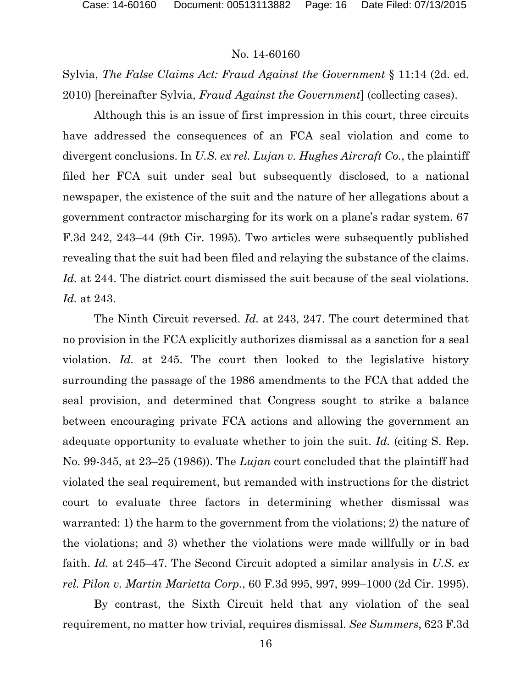Sylvia, *The False Claims Act: Fraud Against the Government* § 11:14 (2d. ed. 2010) [hereinafter Sylvia, *Fraud Against the Government*] (collecting cases).

Although this is an issue of first impression in this court, three circuits have addressed the consequences of an FCA seal violation and come to divergent conclusions. In *U.S. ex rel. Lujan v. Hughes Aircraft Co.*, the plaintiff filed her FCA suit under seal but subsequently disclosed, to a national newspaper, the existence of the suit and the nature of her allegations about a government contractor mischarging for its work on a plane's radar system. 67 F.3d 242, 243–44 (9th Cir. 1995). Two articles were subsequently published revealing that the suit had been filed and relaying the substance of the claims. *Id.* at 244. The district court dismissed the suit because of the seal violations. *Id.* at 243.

The Ninth Circuit reversed. *Id.* at 243, 247. The court determined that no provision in the FCA explicitly authorizes dismissal as a sanction for a seal violation. *Id.* at 245. The court then looked to the legislative history surrounding the passage of the 1986 amendments to the FCA that added the seal provision, and determined that Congress sought to strike a balance between encouraging private FCA actions and allowing the government an adequate opportunity to evaluate whether to join the suit. *Id.* (citing S. Rep. No. 99-345, at 23–25 (1986)). The *Lujan* court concluded that the plaintiff had violated the seal requirement, but remanded with instructions for the district court to evaluate three factors in determining whether dismissal was warranted: 1) the harm to the government from the violations; 2) the nature of the violations; and 3) whether the violations were made willfully or in bad faith. *Id.* at 245–47. The Second Circuit adopted a similar analysis in *U.S. ex rel. Pilon v. Martin Marietta Corp.*, 60 F.3d 995, 997, 999–1000 (2d Cir. 1995).

By contrast, the Sixth Circuit held that any violation of the seal requirement, no matter how trivial, requires dismissal. *See Summers*, 623 F.3d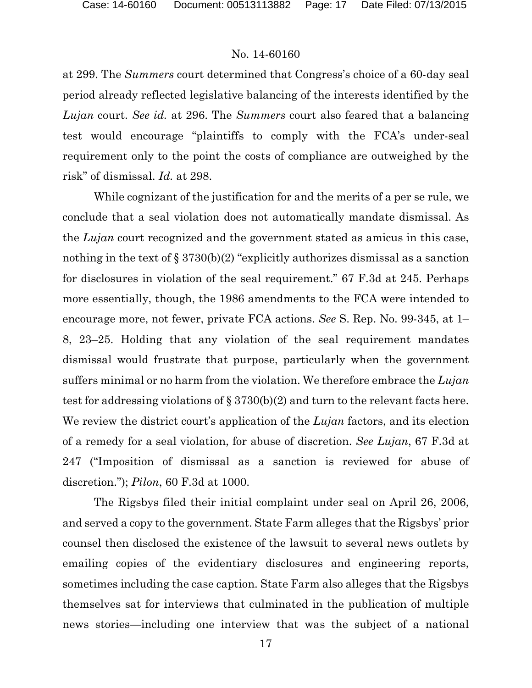at 299. The *Summers* court determined that Congress's choice of a 60-day seal period already reflected legislative balancing of the interests identified by the *Lujan* court. *See id.* at 296. The *Summers* court also feared that a balancing test would encourage "plaintiffs to comply with the FCA's under-seal requirement only to the point the costs of compliance are outweighed by the risk" of dismissal. *Id.* at 298.

While cognizant of the justification for and the merits of a per se rule, we conclude that a seal violation does not automatically mandate dismissal. As the *Lujan* court recognized and the government stated as amicus in this case, nothing in the text of § 3730(b)(2) "explicitly authorizes dismissal as a sanction for disclosures in violation of the seal requirement." 67 F.3d at 245. Perhaps more essentially, though, the 1986 amendments to the FCA were intended to encourage more, not fewer, private FCA actions. *See* S. Rep. No. 99-345, at 1– 8, 23–25. Holding that any violation of the seal requirement mandates dismissal would frustrate that purpose, particularly when the government suffers minimal or no harm from the violation. We therefore embrace the *Lujan*  test for addressing violations of § 3730(b)(2) and turn to the relevant facts here. We review the district court's application of the *Lujan* factors, and its election of a remedy for a seal violation, for abuse of discretion. *See Lujan*, 67 F.3d at 247 ("Imposition of dismissal as a sanction is reviewed for abuse of discretion."); *Pilon*, 60 F.3d at 1000.

The Rigsbys filed their initial complaint under seal on April 26, 2006, and served a copy to the government. State Farm alleges that the Rigsbys' prior counsel then disclosed the existence of the lawsuit to several news outlets by emailing copies of the evidentiary disclosures and engineering reports, sometimes including the case caption. State Farm also alleges that the Rigsbys themselves sat for interviews that culminated in the publication of multiple news stories—including one interview that was the subject of a national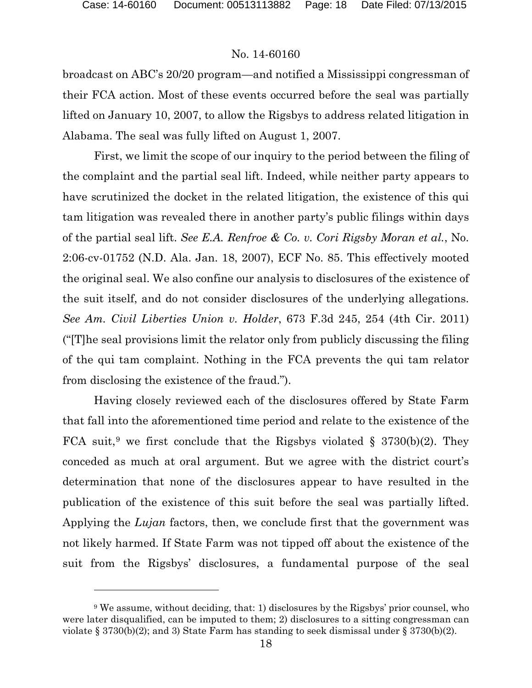### No. 14-60160

broadcast on ABC's 20/20 program—and notified a Mississippi congressman of their FCA action. Most of these events occurred before the seal was partially lifted on January 10, 2007, to allow the Rigsbys to address related litigation in Alabama. The seal was fully lifted on August 1, 2007.

First, we limit the scope of our inquiry to the period between the filing of the complaint and the partial seal lift. Indeed, while neither party appears to have scrutinized the docket in the related litigation, the existence of this qui tam litigation was revealed there in another party's public filings within days of the partial seal lift. *See E.A. Renfroe & Co. v. Cori Rigsby Moran et al.*, No. 2:06-cv-01752 (N.D. Ala. Jan. 18, 2007), ECF No. 85. This effectively mooted the original seal. We also confine our analysis to disclosures of the existence of the suit itself, and do not consider disclosures of the underlying allegations. *See Am. Civil Liberties Union v. Holder*, 673 F.3d 245, 254 (4th Cir. 2011) ("[T]he seal provisions limit the relator only from publicly discussing the filing of the qui tam complaint. Nothing in the FCA prevents the qui tam relator from disclosing the existence of the fraud.").

Having closely reviewed each of the disclosures offered by State Farm that fall into the aforementioned time period and relate to the existence of the FCA suit,<sup>[9](#page-17-0)</sup> we first conclude that the Rigsbys violated § 3730(b)(2). They conceded as much at oral argument. But we agree with the district court's determination that none of the disclosures appear to have resulted in the publication of the existence of this suit before the seal was partially lifted. Applying the *Lujan* factors, then, we conclude first that the government was not likely harmed. If State Farm was not tipped off about the existence of the suit from the Rigsbys' disclosures, a fundamental purpose of the seal

<span id="page-17-0"></span><sup>9</sup> We assume, without deciding, that: 1) disclosures by the Rigsbys' prior counsel, who were later disqualified, can be imputed to them; 2) disclosures to a sitting congressman can violate § 3730(b)(2); and 3) State Farm has standing to seek dismissal under § 3730(b)(2).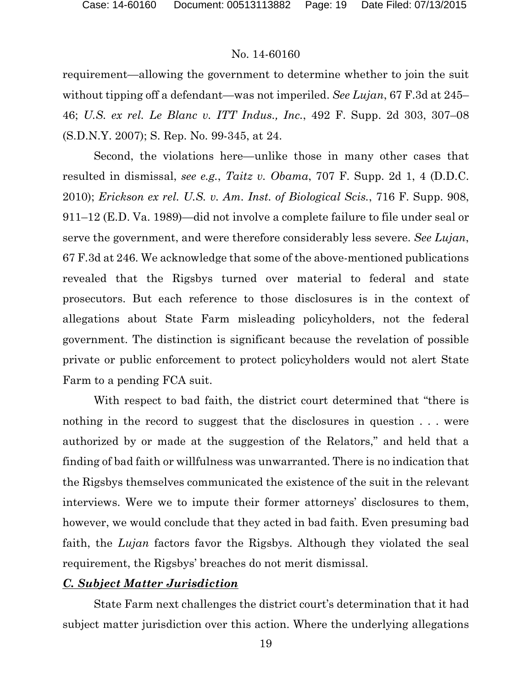requirement—allowing the government to determine whether to join the suit without tipping off a defendant—was not imperiled. *See Lujan*, 67 F.3d at 245– 46; *U.S. ex rel. Le Blanc v. ITT Indus., Inc.*, 492 F. Supp. 2d 303, 307–08 (S.D.N.Y. 2007); S. Rep. No. 99-345, at 24.

Second, the violations here—unlike those in many other cases that resulted in dismissal, *see e.g.*, *Taitz v. Obama*, 707 F. Supp. 2d 1, 4 (D.D.C. 2010); *Erickson ex rel. U.S. v. Am. Inst. of Biological Scis.*, 716 F. Supp. 908, 911–12 (E.D. Va. 1989)—did not involve a complete failure to file under seal or serve the government, and were therefore considerably less severe. *See Lujan*, 67 F.3d at 246. We acknowledge that some of the above-mentioned publications revealed that the Rigsbys turned over material to federal and state prosecutors. But each reference to those disclosures is in the context of allegations about State Farm misleading policyholders, not the federal government. The distinction is significant because the revelation of possible private or public enforcement to protect policyholders would not alert State Farm to a pending FCA suit.

With respect to bad faith, the district court determined that "there is nothing in the record to suggest that the disclosures in question  $\dots$  were authorized by or made at the suggestion of the Relators," and held that a finding of bad faith or willfulness was unwarranted. There is no indication that the Rigsbys themselves communicated the existence of the suit in the relevant interviews. Were we to impute their former attorneys' disclosures to them, however, we would conclude that they acted in bad faith. Even presuming bad faith, the *Lujan* factors favor the Rigsbys. Although they violated the seal requirement, the Rigsbys' breaches do not merit dismissal.

## *C. Subject Matter Jurisdiction*

State Farm next challenges the district court's determination that it had subject matter jurisdiction over this action. Where the underlying allegations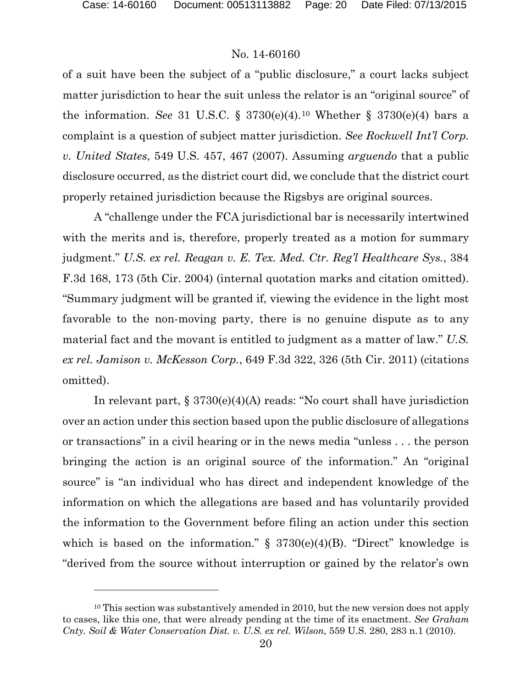### No. 14-60160

of a suit have been the subject of a "public disclosure," a court lacks subject matter jurisdiction to hear the suit unless the relator is an "original source" of the information. *See* 31 U.S.C. § 3730(e)(4).<sup>[10](#page-19-0)</sup> Whether § 3730(e)(4) bars a complaint is a question of subject matter jurisdiction. *See Rockwell Int'l Corp. v. United States*, 549 U.S. 457, 467 (2007). Assuming *arguendo* that a public disclosure occurred, as the district court did, we conclude that the district court properly retained jurisdiction because the Rigsbys are original sources.

A "challenge under the FCA jurisdictional bar is necessarily intertwined with the merits and is, therefore, properly treated as a motion for summary judgment." *U.S. ex rel. Reagan v. E. Tex. Med. Ctr. Reg'l Healthcare Sys.*, 384 F.3d 168, 173 (5th Cir. 2004) (internal quotation marks and citation omitted). "Summary judgment will be granted if, viewing the evidence in the light most favorable to the non-moving party, there is no genuine dispute as to any material fact and the movant is entitled to judgment as a matter of law." *U.S. ex rel. Jamison v. McKesson Corp.*, 649 F.3d 322, 326 (5th Cir. 2011) (citations omitted).

In relevant part, § 3730(e)(4)(A) reads: "No court shall have jurisdiction over an action under this section based upon the public disclosure of allegations or transactions" in a civil hearing or in the news media "unless . . . the person bringing the action is an original source of the information." An "original source" is "an individual who has direct and independent knowledge of the information on which the allegations are based and has voluntarily provided the information to the Government before filing an action under this section which is based on the information."  $\S$  3730(e)(4)(B). "Direct" knowledge is "derived from the source without interruption or gained by the relator's own

<span id="page-19-0"></span><sup>&</sup>lt;sup>10</sup> This section was substantively amended in 2010, but the new version does not apply to cases, like this one, that were already pending at the time of its enactment. *See Graham Cnty. Soil & Water Conservation Dist. v. U.S. ex rel. Wilson*, 559 U.S. 280, 283 n.1 (2010).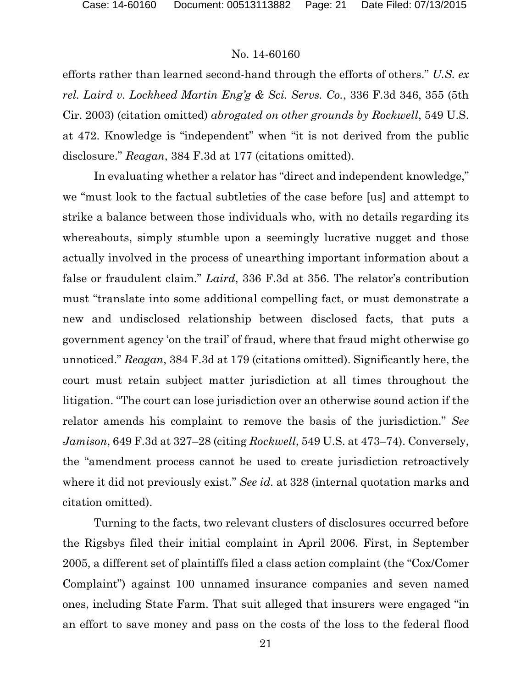efforts rather than learned second-hand through the efforts of others." *U.S. ex rel. Laird v. Lockheed Martin Eng'g & Sci. Servs. Co.*, 336 F.3d 346, 355 (5th Cir. 2003) (citation omitted) *abrogated on other grounds by Rockwell*, 549 U.S. at 472. Knowledge is "independent" when "it is not derived from the public disclosure." *Reagan*, 384 F.3d at 177 (citations omitted).

In evaluating whether a relator has "direct and independent knowledge," we "must look to the factual subtleties of the case before [us] and attempt to strike a balance between those individuals who, with no details regarding its whereabouts, simply stumble upon a seemingly lucrative nugget and those actually involved in the process of unearthing important information about a false or fraudulent claim." *Laird*, 336 F.3d at 356. The relator's contribution must "translate into some additional compelling fact, or must demonstrate a new and undisclosed relationship between disclosed facts, that puts a government agency 'on the trail' of fraud, where that fraud might otherwise go unnoticed." *Reagan*, 384 F.3d at 179 (citations omitted). Significantly here, the court must retain subject matter jurisdiction at all times throughout the litigation. "The court can lose jurisdiction over an otherwise sound action if the relator amends his complaint to remove the basis of the jurisdiction." *See Jamison*, 649 F.3d at 327–28 (citing *Rockwell*, 549 U.S. at 473–74). Conversely, the "amendment process cannot be used to create jurisdiction retroactively where it did not previously exist." *See id.* at 328 (internal quotation marks and citation omitted).

Turning to the facts, two relevant clusters of disclosures occurred before the Rigsbys filed their initial complaint in April 2006. First, in September 2005, a different set of plaintiffs filed a class action complaint (the "Cox/Comer Complaint") against 100 unnamed insurance companies and seven named ones, including State Farm. That suit alleged that insurers were engaged "in an effort to save money and pass on the costs of the loss to the federal flood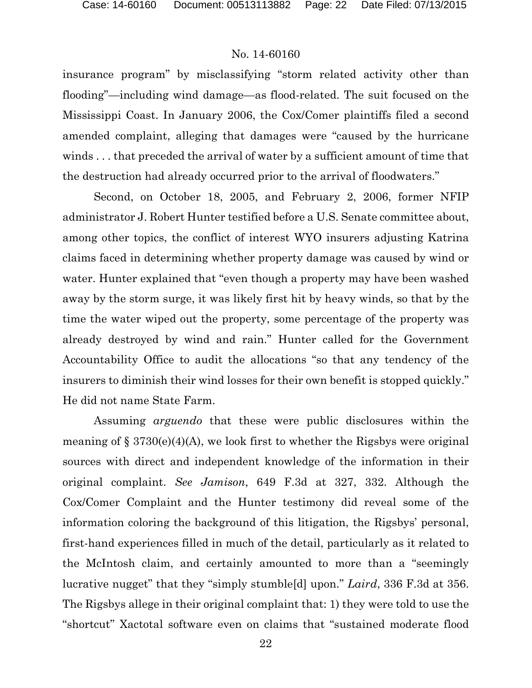insurance program" by misclassifying "storm related activity other than flooding"—including wind damage—as flood-related. The suit focused on the Mississippi Coast. In January 2006, the Cox/Comer plaintiffs filed a second amended complaint, alleging that damages were "caused by the hurricane winds . . . that preceded the arrival of water by a sufficient amount of time that the destruction had already occurred prior to the arrival of floodwaters."

Second, on October 18, 2005, and February 2, 2006, former NFIP administrator J. Robert Hunter testified before a U.S. Senate committee about, among other topics, the conflict of interest WYO insurers adjusting Katrina claims faced in determining whether property damage was caused by wind or water. Hunter explained that "even though a property may have been washed away by the storm surge, it was likely first hit by heavy winds, so that by the time the water wiped out the property, some percentage of the property was already destroyed by wind and rain." Hunter called for the Government Accountability Office to audit the allocations "so that any tendency of the insurers to diminish their wind losses for their own benefit is stopped quickly." He did not name State Farm.

Assuming *arguendo* that these were public disclosures within the meaning of  $\S 3730(e)(4)(A)$ , we look first to whether the Rigsbys were original sources with direct and independent knowledge of the information in their original complaint. *See Jamison*, 649 F.3d at 327, 332. Although the Cox/Comer Complaint and the Hunter testimony did reveal some of the information coloring the background of this litigation, the Rigsbys' personal, first-hand experiences filled in much of the detail, particularly as it related to the McIntosh claim, and certainly amounted to more than a "seemingly lucrative nugget" that they "simply stumble[d] upon." *Laird*, 336 F.3d at 356. The Rigsbys allege in their original complaint that: 1) they were told to use the "shortcut" Xactotal software even on claims that "sustained moderate flood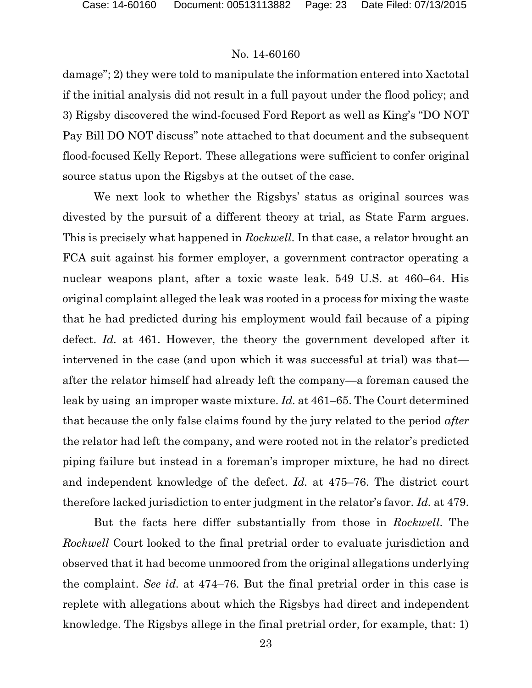damage"; 2) they were told to manipulate the information entered into Xactotal if the initial analysis did not result in a full payout under the flood policy; and 3) Rigsby discovered the wind-focused Ford Report as well as King's "DO NOT Pay Bill DO NOT discuss" note attached to that document and the subsequent flood-focused Kelly Report. These allegations were sufficient to confer original source status upon the Rigsbys at the outset of the case.

We next look to whether the Rigsbys' status as original sources was divested by the pursuit of a different theory at trial, as State Farm argues. This is precisely what happened in *Rockwell*. In that case, a relator brought an FCA suit against his former employer, a government contractor operating a nuclear weapons plant, after a toxic waste leak. 549 U.S. at 460–64. His original complaint alleged the leak was rooted in a process for mixing the waste that he had predicted during his employment would fail because of a piping defect. *Id.* at 461. However, the theory the government developed after it intervened in the case (and upon which it was successful at trial) was that after the relator himself had already left the company—a foreman caused the leak by using an improper waste mixture. *Id.* at 461–65. The Court determined that because the only false claims found by the jury related to the period *after* the relator had left the company, and were rooted not in the relator's predicted piping failure but instead in a foreman's improper mixture, he had no direct and independent knowledge of the defect. *Id.* at 475–76. The district court therefore lacked jurisdiction to enter judgment in the relator's favor. *Id.* at 479.

But the facts here differ substantially from those in *Rockwell*. The *Rockwell* Court looked to the final pretrial order to evaluate jurisdiction and observed that it had become unmoored from the original allegations underlying the complaint. *See id.* at 474–76. But the final pretrial order in this case is replete with allegations about which the Rigsbys had direct and independent knowledge. The Rigsbys allege in the final pretrial order, for example, that: 1)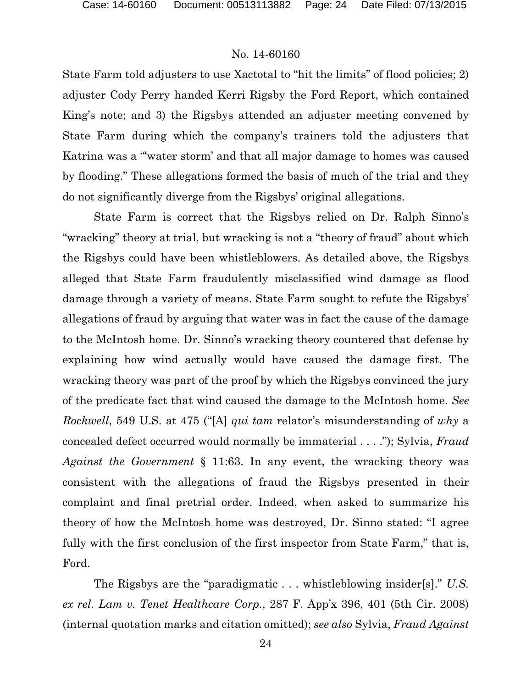State Farm told adjusters to use Xactotal to "hit the limits" of flood policies; 2) adjuster Cody Perry handed Kerri Rigsby the Ford Report, which contained King's note; and 3) the Rigsbys attended an adjuster meeting convened by State Farm during which the company's trainers told the adjusters that Katrina was a "'water storm' and that all major damage to homes was caused by flooding." These allegations formed the basis of much of the trial and they do not significantly diverge from the Rigsbys' original allegations.

State Farm is correct that the Rigsbys relied on Dr. Ralph Sinno's "wracking" theory at trial, but wracking is not a "theory of fraud" about which the Rigsbys could have been whistleblowers. As detailed above, the Rigsbys alleged that State Farm fraudulently misclassified wind damage as flood damage through a variety of means. State Farm sought to refute the Rigsbys' allegations of fraud by arguing that water was in fact the cause of the damage to the McIntosh home. Dr. Sinno's wracking theory countered that defense by explaining how wind actually would have caused the damage first. The wracking theory was part of the proof by which the Rigsbys convinced the jury of the predicate fact that wind caused the damage to the McIntosh home. *See Rockwell*, 549 U.S. at 475 ("[A] *qui tam* relator's misunderstanding of *why* a concealed defect occurred would normally be immaterial . . . ."); Sylvia, *Fraud Against the Government* § 11:63. In any event, the wracking theory was consistent with the allegations of fraud the Rigsbys presented in their complaint and final pretrial order. Indeed, when asked to summarize his theory of how the McIntosh home was destroyed, Dr. Sinno stated: "I agree fully with the first conclusion of the first inspector from State Farm," that is, Ford.

The Rigsbys are the "paradigmatic . . . whistleblowing insider[s]." *U.S. ex rel. Lam v. Tenet Healthcare Corp.*, 287 F. App'x 396, 401 (5th Cir. 2008) (internal quotation marks and citation omitted); *see also* Sylvia, *Fraud Against*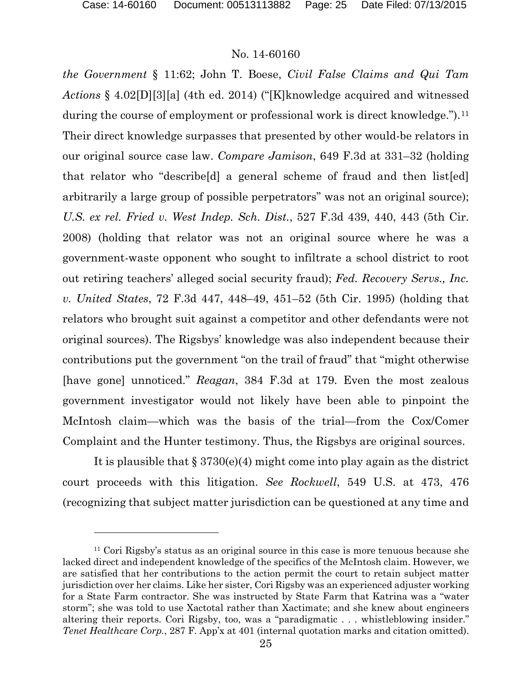### No. 14-60160

*the Government* § 11:62; John T. Boese, *Civil False Claims and Qui Tam Actions* § 4.02[D][3][a] (4th ed. 2014) ("[K]knowledge acquired and witnessed during the course of employment or professional work is direct knowledge.").<sup>[11](#page-24-0)</sup> Their direct knowledge surpasses that presented by other would-be relators in our original source case law. *Compare Jamison*, 649 F.3d at 331–32 (holding that relator who "describe[d] a general scheme of fraud and then list[ed] arbitrarily a large group of possible perpetrators" was not an original source); *U.S. ex rel. Fried v. West Indep. Sch. Dist.*, 527 F.3d 439, 440, 443 (5th Cir. 2008) (holding that relator was not an original source where he was a government-waste opponent who sought to infiltrate a school district to root out retiring teachers' alleged social security fraud); *Fed. Recovery Servs., Inc. v. United States*, 72 F.3d 447, 448–49, 451–52 (5th Cir. 1995) (holding that relators who brought suit against a competitor and other defendants were not original sources). The Rigsbys' knowledge was also independent because their contributions put the government "on the trail of fraud" that "might otherwise [have gone] unnoticed." *Reagan*, 384 F.3d at 179. Even the most zealous government investigator would not likely have been able to pinpoint the McIntosh claim—which was the basis of the trial—from the Cox/Comer Complaint and the Hunter testimony. Thus, the Rigsbys are original sources.

It is plausible that § 3730(e)(4) might come into play again as the district court proceeds with this litigation. *See Rockwell*, 549 U.S. at 473, 476 (recognizing that subject matter jurisdiction can be questioned at any time and

<span id="page-24-0"></span><sup>11</sup> Cori Rigsby's status as an original source in this case is more tenuous because she lacked direct and independent knowledge of the specifics of the McIntosh claim. However, we are satisfied that her contributions to the action permit the court to retain subject matter jurisdiction over her claims. Like her sister, Cori Rigsby was an experienced adjuster working for a State Farm contractor. She was instructed by State Farm that Katrina was a "water storm"; she was told to use Xactotal rather than Xactimate; and she knew about engineers altering their reports. Cori Rigsby, too, was a "paradigmatic . . . whistleblowing insider." *Tenet Healthcare Corp.*, 287 F. App'x at 401 (internal quotation marks and citation omitted).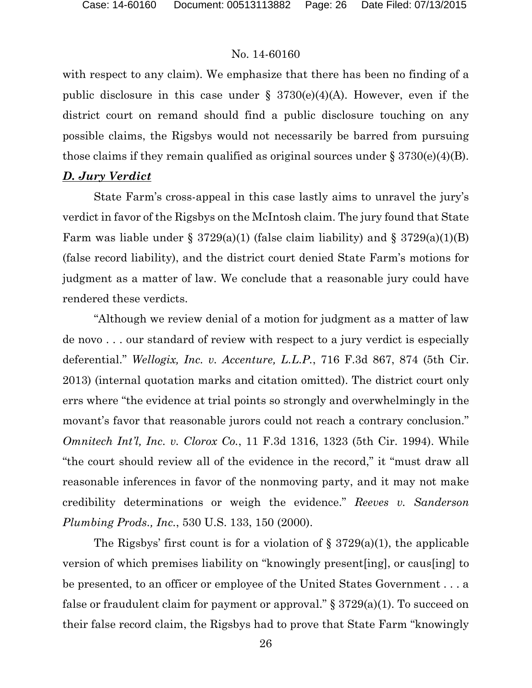with respect to any claim). We emphasize that there has been no finding of a public disclosure in this case under  $\S$  3730(e)(4)(A). However, even if the district court on remand should find a public disclosure touching on any possible claims, the Rigsbys would not necessarily be barred from pursuing those claims if they remain qualified as original sources under  $\S 3730(e)(4)(B)$ .

## *D. Jury Verdict*

State Farm's cross-appeal in this case lastly aims to unravel the jury's verdict in favor of the Rigsbys on the McIntosh claim. The jury found that State Farm was liable under § 3729(a)(1) (false claim liability) and § 3729(a)(1)(B) (false record liability), and the district court denied State Farm's motions for judgment as a matter of law. We conclude that a reasonable jury could have rendered these verdicts.

"Although we review denial of a motion for judgment as a matter of law de novo . . . our standard of review with respect to a jury verdict is especially deferential." *Wellogix, Inc. v. Accenture, L.L.P.*, 716 F.3d 867, 874 (5th Cir. 2013) (internal quotation marks and citation omitted). The district court only errs where "the evidence at trial points so strongly and overwhelmingly in the movant's favor that reasonable jurors could not reach a contrary conclusion." *Omnitech Int'l, Inc. v. Clorox Co.*, 11 F.3d 1316, 1323 (5th Cir. 1994). While "the court should review all of the evidence in the record," it "must draw all reasonable inferences in favor of the nonmoving party, and it may not make credibility determinations or weigh the evidence." *Reeves v. Sanderson Plumbing Prods., Inc.*, 530 U.S. 133, 150 (2000).

The Rigsbys' first count is for a violation of  $\S 3729(a)(1)$ , the applicable version of which premises liability on "knowingly present[ing], or caus[ing] to be presented, to an officer or employee of the United States Government . . . a false or fraudulent claim for payment or approval."  $\S 3729(a)(1)$ . To succeed on their false record claim, the Rigsbys had to prove that State Farm "knowingly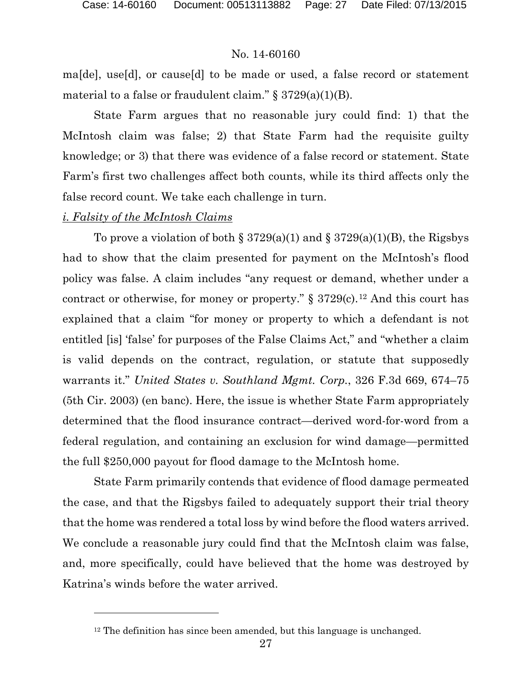ma[de], use[d], or cause[d] to be made or used, a false record or statement material to a false or fraudulent claim."  $\S 3729(a)(1)(B)$ .

State Farm argues that no reasonable jury could find: 1) that the McIntosh claim was false; 2) that State Farm had the requisite guilty knowledge; or 3) that there was evidence of a false record or statement. State Farm's first two challenges affect both counts, while its third affects only the false record count. We take each challenge in turn.

#### *i. Falsity of the McIntosh Claims*

l

To prove a violation of both § 3729(a)(1) and § 3729(a)(1)(B), the Rigsbys had to show that the claim presented for payment on the McIntosh's flood policy was false. A claim includes "any request or demand, whether under a contract or otherwise, for money or property."  $\S 3729(c)$ .<sup>[12](#page-26-0)</sup> And this court has explained that a claim "for money or property to which a defendant is not entitled [is] 'false' for purposes of the False Claims Act," and "whether a claim is valid depends on the contract, regulation, or statute that supposedly warrants it." *United States v. Southland Mgmt. Corp.*, 326 F.3d 669, 674–75 (5th Cir. 2003) (en banc). Here, the issue is whether State Farm appropriately determined that the flood insurance contract—derived word-for-word from a federal regulation, and containing an exclusion for wind damage—permitted the full \$250,000 payout for flood damage to the McIntosh home.

State Farm primarily contends that evidence of flood damage permeated the case, and that the Rigsbys failed to adequately support their trial theory that the home was rendered a total loss by wind before the flood waters arrived. We conclude a reasonable jury could find that the McIntosh claim was false, and, more specifically, could have believed that the home was destroyed by Katrina's winds before the water arrived.

<span id="page-26-0"></span><sup>&</sup>lt;sup>12</sup> The definition has since been amended, but this language is unchanged.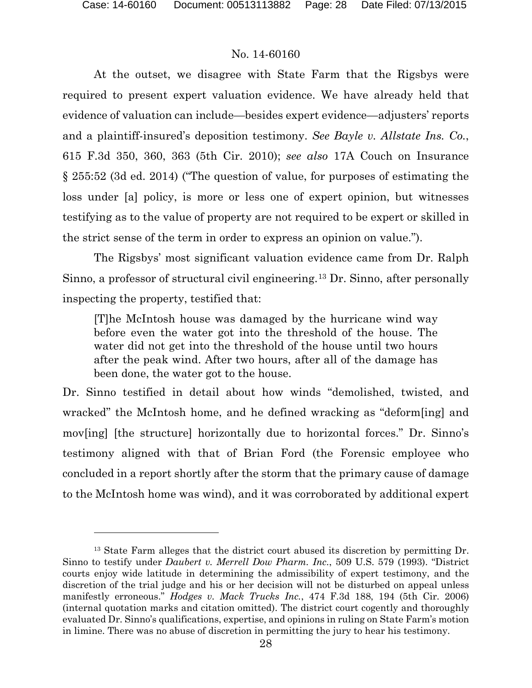## No. 14-60160

At the outset, we disagree with State Farm that the Rigsbys were required to present expert valuation evidence. We have already held that evidence of valuation can include—besides expert evidence—adjusters' reports and a plaintiff-insured's deposition testimony. *See Bayle v. Allstate Ins. Co.*, 615 F.3d 350, 360, 363 (5th Cir. 2010); *see also* 17A Couch on Insurance § 255:52 (3d ed. 2014) ("The question of value, for purposes of estimating the loss under [a] policy, is more or less one of expert opinion, but witnesses testifying as to the value of property are not required to be expert or skilled in the strict sense of the term in order to express an opinion on value.").

The Rigsbys' most significant valuation evidence came from Dr. Ralph Sinno, a professor of structural civil engineering.[13](#page-27-0) Dr. Sinno, after personally inspecting the property, testified that:

[T]he McIntosh house was damaged by the hurricane wind way before even the water got into the threshold of the house. The water did not get into the threshold of the house until two hours after the peak wind. After two hours, after all of the damage has been done, the water got to the house.

Dr. Sinno testified in detail about how winds "demolished, twisted, and wracked" the McIntosh home, and he defined wracking as "deform[ing] and mov[ing] [the structure] horizontally due to horizontal forces." Dr. Sinno's testimony aligned with that of Brian Ford (the Forensic employee who concluded in a report shortly after the storm that the primary cause of damage to the McIntosh home was wind), and it was corroborated by additional expert

<span id="page-27-0"></span><sup>&</sup>lt;sup>13</sup> State Farm alleges that the district court abused its discretion by permitting Dr. Sinno to testify under *Daubert v. Merrell Dow Pharm. Inc.*, 509 U.S. 579 (1993). "District courts enjoy wide latitude in determining the admissibility of expert testimony, and the discretion of the trial judge and his or her decision will not be disturbed on appeal unless manifestly erroneous." *Hodges v. Mack Trucks Inc.*, 474 F.3d 188, 194 (5th Cir. 2006) (internal quotation marks and citation omitted). The district court cogently and thoroughly evaluated Dr. Sinno's qualifications, expertise, and opinions in ruling on State Farm's motion in limine. There was no abuse of discretion in permitting the jury to hear his testimony.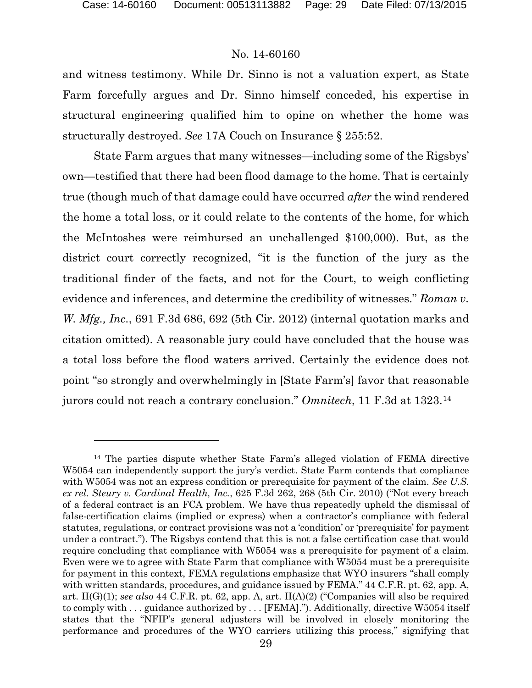l

#### No. 14-60160

and witness testimony. While Dr. Sinno is not a valuation expert, as State Farm forcefully argues and Dr. Sinno himself conceded, his expertise in structural engineering qualified him to opine on whether the home was structurally destroyed. *See* 17A Couch on Insurance § 255:52.

State Farm argues that many witnesses—including some of the Rigsbys' own—testified that there had been flood damage to the home. That is certainly true (though much of that damage could have occurred *after* the wind rendered the home a total loss, or it could relate to the contents of the home, for which the McIntoshes were reimbursed an unchallenged \$100,000). But, as the district court correctly recognized, "it is the function of the jury as the traditional finder of the facts, and not for the Court, to weigh conflicting evidence and inferences, and determine the credibility of witnesses." *Roman v. W. Mfg., Inc.*, 691 F.3d 686, 692 (5th Cir. 2012) (internal quotation marks and citation omitted). A reasonable jury could have concluded that the house was a total loss before the flood waters arrived. Certainly the evidence does not point "so strongly and overwhelmingly in [State Farm's] favor that reasonable jurors could not reach a contrary conclusion." *Omnitech*, 11 F.3d at 1323.[14](#page-28-0)

<span id="page-28-0"></span><sup>14</sup> The parties dispute whether State Farm's alleged violation of FEMA directive W5054 can independently support the jury's verdict. State Farm contends that compliance with W5054 was not an express condition or prerequisite for payment of the claim. *See U.S. ex rel. Steury v. Cardinal Health, Inc.*, 625 F.3d 262, 268 (5th Cir. 2010) ("Not every breach of a federal contract is an FCA problem. We have thus repeatedly upheld the dismissal of false-certification claims (implied or express) when a contractor's compliance with federal statutes, regulations, or contract provisions was not a 'condition' or 'prerequisite' for payment under a contract."). The Rigsbys contend that this is not a false certification case that would require concluding that compliance with W5054 was a prerequisite for payment of a claim. Even were we to agree with State Farm that compliance with W5054 must be a prerequisite for payment in this context, FEMA regulations emphasize that WYO insurers "shall comply with written standards, procedures, and guidance issued by FEMA." 44 C.F.R. pt. 62, app. A, art. II(G)(1); *see also* 44 C.F.R. pt. 62, app. A, art. II(A)(2) ("Companies will also be required to comply with . . . guidance authorized by . . . [FEMA]."). Additionally, directive W5054 itself states that the "NFIP's general adjusters will be involved in closely monitoring the performance and procedures of the WYO carriers utilizing this process," signifying that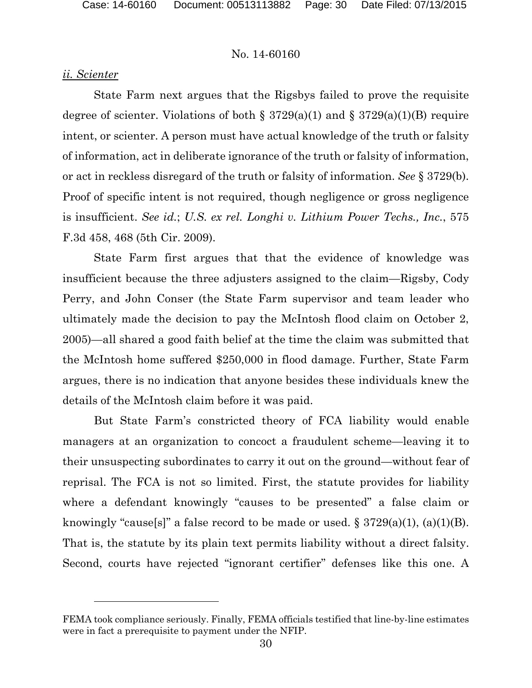#### *ii. Scienter*

l

State Farm next argues that the Rigsbys failed to prove the requisite degree of scienter. Violations of both  $\S 3729(a)(1)$  and  $\S 3729(a)(1)(B)$  require intent, or scienter. A person must have actual knowledge of the truth or falsity of information, act in deliberate ignorance of the truth or falsity of information, or act in reckless disregard of the truth or falsity of information. *See* § 3729(b). Proof of specific intent is not required, though negligence or gross negligence is insufficient. *See id.*; *U.S. ex rel. Longhi v. Lithium Power Techs., Inc.*, 575 F.3d 458, 468 (5th Cir. 2009).

State Farm first argues that that the evidence of knowledge was insufficient because the three adjusters assigned to the claim—Rigsby, Cody Perry, and John Conser (the State Farm supervisor and team leader who ultimately made the decision to pay the McIntosh flood claim on October 2, 2005)—all shared a good faith belief at the time the claim was submitted that the McIntosh home suffered \$250,000 in flood damage. Further, State Farm argues, there is no indication that anyone besides these individuals knew the details of the McIntosh claim before it was paid.

But State Farm's constricted theory of FCA liability would enable managers at an organization to concoct a fraudulent scheme—leaving it to their unsuspecting subordinates to carry it out on the ground—without fear of reprisal. The FCA is not so limited. First, the statute provides for liability where a defendant knowingly "causes to be presented" a false claim or knowingly "cause[s]" a false record to be made or used.  $\S 3729(a)(1)$ , (a)(1)(B). That is, the statute by its plain text permits liability without a direct falsity. Second, courts have rejected "ignorant certifier" defenses like this one. A

FEMA took compliance seriously. Finally, FEMA officials testified that line-by-line estimates were in fact a prerequisite to payment under the NFIP.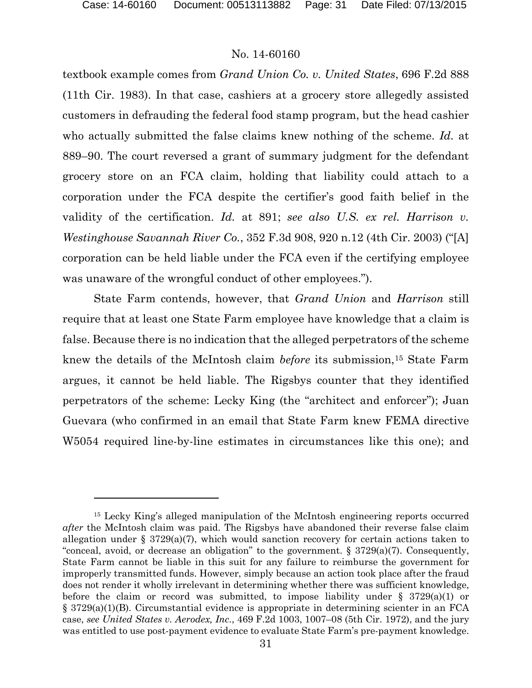### No. 14-60160

textbook example comes from *Grand Union Co. v. United States*, 696 F.2d 888 (11th Cir. 1983). In that case, cashiers at a grocery store allegedly assisted customers in defrauding the federal food stamp program, but the head cashier who actually submitted the false claims knew nothing of the scheme. *Id.* at 889–90. The court reversed a grant of summary judgment for the defendant grocery store on an FCA claim, holding that liability could attach to a corporation under the FCA despite the certifier's good faith belief in the validity of the certification. *Id.* at 891; *see also U.S. ex rel. Harrison v. Westinghouse Savannah River Co.*, 352 F.3d 908, 920 n.12 (4th Cir. 2003) ("[A] corporation can be held liable under the FCA even if the certifying employee was unaware of the wrongful conduct of other employees.").

State Farm contends, however, that *Grand Union* and *Harrison* still require that at least one State Farm employee have knowledge that a claim is false. Because there is no indication that the alleged perpetrators of the scheme knew the details of the McIntosh claim *before* its submission,[15](#page-30-0) State Farm argues, it cannot be held liable. The Rigsbys counter that they identified perpetrators of the scheme: Lecky King (the "architect and enforcer"); Juan Guevara (who confirmed in an email that State Farm knew FEMA directive W5054 required line-by-line estimates in circumstances like this one); and

<span id="page-30-0"></span><sup>15</sup> Lecky King's alleged manipulation of the McIntosh engineering reports occurred *after* the McIntosh claim was paid. The Rigsbys have abandoned their reverse false claim allegation under § 3729(a)(7), which would sanction recovery for certain actions taken to "conceal, avoid, or decrease an obligation" to the government.  $\S 3729(a)(7)$ . Consequently, State Farm cannot be liable in this suit for any failure to reimburse the government for improperly transmitted funds. However, simply because an action took place after the fraud does not render it wholly irrelevant in determining whether there was sufficient knowledge, before the claim or record was submitted, to impose liability under  $\S$  3729(a)(1) or § 3729(a)(1)(B). Circumstantial evidence is appropriate in determining scienter in an FCA case, *see United States v. Aerodex, Inc.*, 469 F.2d 1003, 1007–08 (5th Cir. 1972), and the jury was entitled to use post-payment evidence to evaluate State Farm's pre-payment knowledge.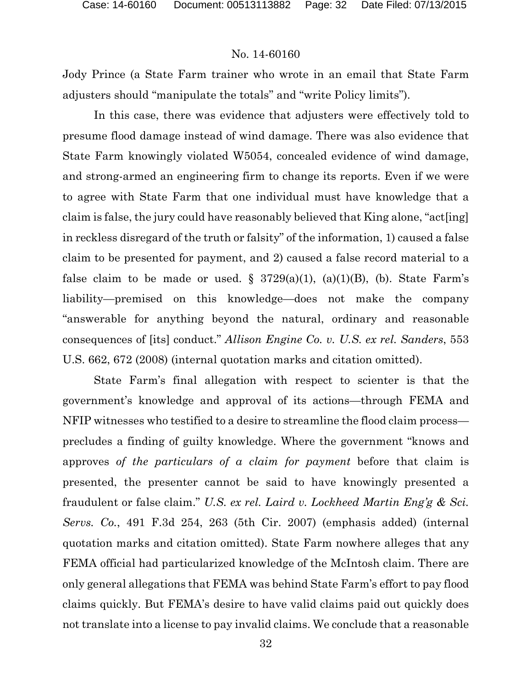Jody Prince (a State Farm trainer who wrote in an email that State Farm adjusters should "manipulate the totals" and "write Policy limits").

In this case, there was evidence that adjusters were effectively told to presume flood damage instead of wind damage. There was also evidence that State Farm knowingly violated W5054, concealed evidence of wind damage, and strong-armed an engineering firm to change its reports. Even if we were to agree with State Farm that one individual must have knowledge that a claim is false, the jury could have reasonably believed that King alone, "act[ing] in reckless disregard of the truth or falsity" of the information, 1) caused a false claim to be presented for payment, and 2) caused a false record material to a false claim to be made or used.  $\S$  3729(a)(1), (a)(1)(B), (b). State Farm's liability—premised on this knowledge—does not make the company "answerable for anything beyond the natural, ordinary and reasonable consequences of [its] conduct." *Allison Engine Co. v. U.S. ex rel. Sanders*, 553 U.S. 662, 672 (2008) (internal quotation marks and citation omitted).

State Farm's final allegation with respect to scienter is that the government's knowledge and approval of its actions—through FEMA and NFIP witnesses who testified to a desire to streamline the flood claim process precludes a finding of guilty knowledge. Where the government "knows and approves *of the particulars of a claim for payment* before that claim is presented, the presenter cannot be said to have knowingly presented a fraudulent or false claim." *U.S. ex rel. Laird v. Lockheed Martin Eng'g & Sci. Servs. Co.*, 491 F.3d 254, 263 (5th Cir. 2007) (emphasis added) (internal quotation marks and citation omitted). State Farm nowhere alleges that any FEMA official had particularized knowledge of the McIntosh claim. There are only general allegations that FEMA was behind State Farm's effort to pay flood claims quickly. But FEMA's desire to have valid claims paid out quickly does not translate into a license to pay invalid claims. We conclude that a reasonable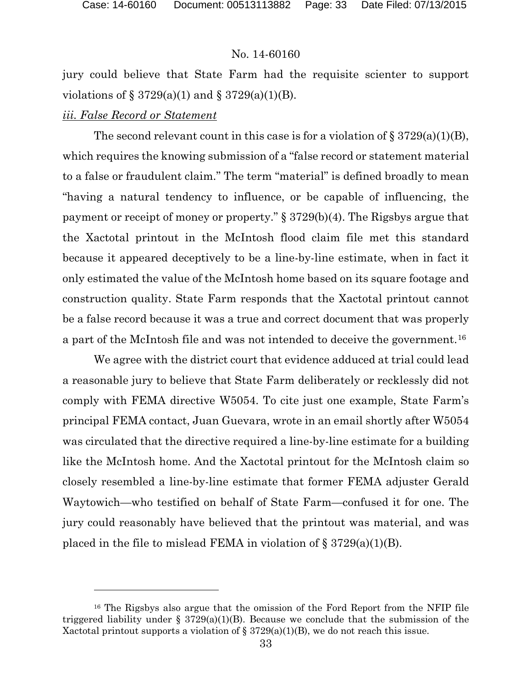jury could believe that State Farm had the requisite scienter to support violations of  $\S 3729(a)(1)$  and  $\S 3729(a)(1)(B)$ .

## *iii. False Record or Statement*

 $\overline{a}$ 

The second relevant count in this case is for a violation of  $\S 3729(a)(1)(B)$ , which requires the knowing submission of a "false record or statement material to a false or fraudulent claim." The term "material" is defined broadly to mean "having a natural tendency to influence, or be capable of influencing, the payment or receipt of money or property." § 3729(b)(4). The Rigsbys argue that the Xactotal printout in the McIntosh flood claim file met this standard because it appeared deceptively to be a line-by-line estimate, when in fact it only estimated the value of the McIntosh home based on its square footage and construction quality. State Farm responds that the Xactotal printout cannot be a false record because it was a true and correct document that was properly a part of the McIntosh file and was not intended to deceive the government.[16](#page-32-0)

We agree with the district court that evidence adduced at trial could lead a reasonable jury to believe that State Farm deliberately or recklessly did not comply with FEMA directive W5054. To cite just one example, State Farm's principal FEMA contact, Juan Guevara, wrote in an email shortly after W5054 was circulated that the directive required a line-by-line estimate for a building like the McIntosh home. And the Xactotal printout for the McIntosh claim so closely resembled a line-by-line estimate that former FEMA adjuster Gerald Waytowich—who testified on behalf of State Farm—confused it for one. The jury could reasonably have believed that the printout was material, and was placed in the file to mislead FEMA in violation of  $\S 3729(a)(1)(B)$ .

<span id="page-32-0"></span><sup>16</sup> The Rigsbys also argue that the omission of the Ford Report from the NFIP file triggered liability under  $\S 3729(a)(1)(B)$ . Because we conclude that the submission of the Xactotal printout supports a violation of  $\S 3729(a)(1)(B)$ , we do not reach this issue.